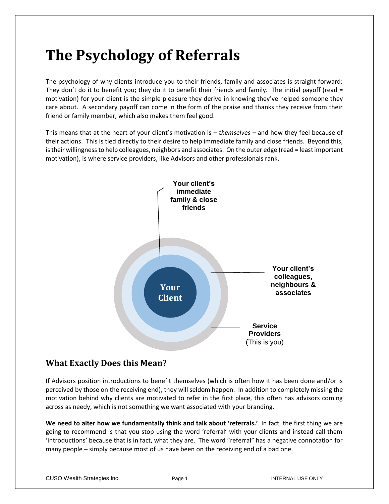# **The Psychology of Referrals**

The psychology of why clients introduce you to their friends, family and associates is straight forward: They don't do it to benefit you; they do it to benefit their friends and family. The initial payoff (read = motivation) for your client is the simple pleasure they derive in knowing they've helped someone they care about. A secondary payoff can come in the form of the praise and thanks they receive from their friend or family member, which also makes them feel good.

This means that at the heart of your client's motivation is – *themselves* – and how they feel because of their actions. This is tied directly to their desire to help immediate family and close friends. Beyond this, is their willingness to help colleagues, neighbors and associates. On the outer edge (read = least important motivation), is where service providers, like Advisors and other professionals rank.



## **What Exactly Does this Mean?**

If Advisors position introductions to benefit themselves (which is often how it has been done and/or is perceived by those on the receiving end), they will seldom happen. In addition to completely missing the motivation behind why clients are motivated to refer in the first place, this often has advisors coming across as needy, which is not something we want associated with your branding.

**We need to alter how we fundamentally think and talk about 'referrals.'** In fact, the first thing we are going to recommend is that you stop using the word 'referral' with your clients and instead call them 'introductions' because that is in fact, what they are. The word "referral" has a negative connotation for many people – simply because most of us have been on the receiving end of a bad one.